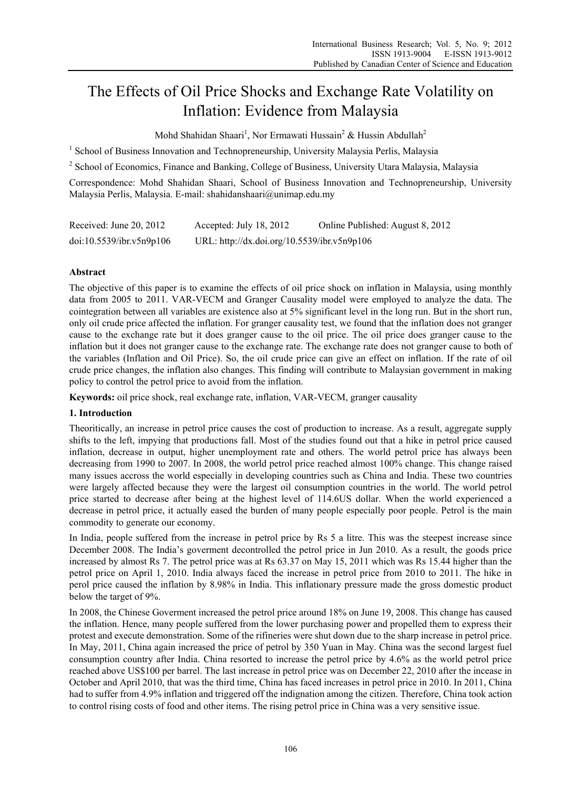# The Effects of Oil Price Shocks and Exchange Rate Volatility on Inflation: Evidence from Malaysia

Mohd Shahidan Shaari<sup>1</sup>, Nor Ermawati Hussain<sup>2</sup> & Hussin Abdullah<sup>2</sup>

<sup>1</sup> School of Business Innovation and Technopreneurship, University Malaysia Perlis, Malaysia

<sup>2</sup> School of Economics, Finance and Banking, College of Business, University Utara Malaysia, Malaysia

Correspondence: Mohd Shahidan Shaari, School of Business Innovation and Technopreneurship, University Malaysia Perlis, Malaysia. E-mail: shahidanshaari@unimap.edu.my

| Received: June 20, 2012  | Accepted: July 18, 2012                     | Online Published: August 8, 2012 |
|--------------------------|---------------------------------------------|----------------------------------|
| doi:10.5539/ibr.v5n9p106 | URL: http://dx.doi.org/10.5539/ibr.v5n9p106 |                                  |

# **Abstract**

The objective of this paper is to examine the effects of oil price shock on inflation in Malaysia, using monthly data from 2005 to 2011. VAR-VECM and Granger Causality model were employed to analyze the data. The cointegration between all variables are existence also at 5% significant level in the long run. But in the short run, only oil crude price affected the inflation. For granger causality test, we found that the inflation does not granger cause to the exchange rate but it does granger cause to the oil price. The oil price does granger cause to the inflation but it does not granger cause to the exchange rate. The exchange rate does not granger cause to both of the variables (Inflation and Oil Price). So, the oil crude price can give an effect on inflation. If the rate of oil crude price changes, the inflation also changes. This finding will contribute to Malaysian government in making policy to control the petrol price to avoid from the inflation.

**Keywords:** oil price shock, real exchange rate, inflation, VAR-VECM, granger causality

## **1. Introduction**

Theoritically, an increase in petrol price causes the cost of production to increase. As a result, aggregate supply shifts to the left, impying that productions fall. Most of the studies found out that a hike in petrol price caused inflation, decrease in output, higher unemployment rate and others. The world petrol price has always been decreasing from 1990 to 2007. In 2008, the world petrol price reached almost 100% change. This change raised many issues accross the world especially in developing countries such as China and India. These two countries were largely affected because they were the largest oil consumption countries in the world. The world petrol price started to decrease after being at the highest level of 114.6US dollar. When the world experienced a decrease in petrol price, it actually eased the burden of many people especially poor people. Petrol is the main commodity to generate our economy.

In India, people suffered from the increase in petrol price by Rs 5 a litre. This was the steepest increase since December 2008. The India's goverment decontrolled the petrol price in Jun 2010. As a result, the goods price increased by almost Rs 7. The petrol price was at Rs 63.37 on May 15, 2011 which was Rs 15.44 higher than the petrol price on April 1, 2010. India always faced the increase in petrol price from 2010 to 2011. The hike in perol price caused the inflation by 8.98% in India. This inflationary pressure made the gross domestic product below the target of 9%.

In 2008, the Chinese Goverment increased the petrol price around 18% on June 19, 2008. This change has caused the inflation. Hence, many people suffered from the lower purchasing power and propelled them to express their protest and execute demonstration. Some of the rifineries were shut down due to the sharp increase in petrol price. In May, 2011, China again increased the price of petrol by 350 Yuan in May. China was the second largest fuel consumption country after India. China resorted to increase the petrol price by 4.6% as the world petrol price reached above US\$100 per barrel. The last increase in petrol price was on December 22, 2010 after the incease in October and April 2010, that was the third time, China has faced increases in petrol price in 2010. In 2011, China had to suffer from 4.9% inflation and triggered off the indignation among the citizen. Therefore, China took action to control rising costs of food and other items. The rising petrol price in China was a very sensitive issue.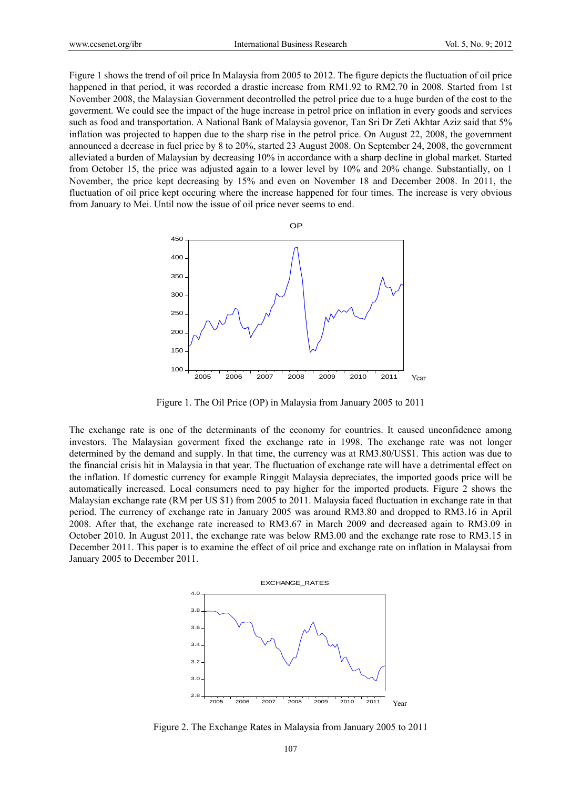Figure 1 shows the trend of oil price In Malaysia from 2005 to 2012. The figure depicts the fluctuation of oil price happened in that period, it was recorded a drastic increase from RM1.92 to RM2.70 in 2008. Started from 1st November 2008, the Malaysian Government decontrolled the petrol price due to a huge burden of the cost to the goverment. We could see the impact of the huge increase in petrol price on inflation in every goods and services such as food and transportation. A National Bank of Malaysia govenor, Tan Sri Dr Zeti Akhtar Aziz said that 5% inflation was projected to happen due to the sharp rise in the petrol price. On August 22, 2008, the government announced a decrease in fuel price by 8 to 20%, started 23 August 2008. On September 24, 2008, the government alleviated a burden of Malaysian by decreasing 10% in accordance with a sharp decline in global market. Started from October 15, the price was adjusted again to a lower level by 10% and 20% change. Substantially, on 1 November, the price kept decreasing by 15% and even on November 18 and December 2008. In 2011, the fluctuation of oil price kept occuring where the increase happened for four times. The increase is very obvious from January to Mei. Until now the issue of oil price never seems to end.



Figure 1. The Oil Price (OP) in Malaysia from January 2005 to 2011

The exchange rate is one of the determinants of the economy for countries. It caused unconfidence among investors. The Malaysian goverment fixed the exchange rate in 1998. The exchange rate was not longer determined by the demand and supply. In that time, the currency was at RM3.80/US\$1. This action was due to the financial crisis hit in Malaysia in that year. The fluctuation of exchange rate will have a detrimental effect on the inflation. If domestic currency for example Ringgit Malaysia depreciates, the imported goods price will be automatically increased. Local consumers need to pay higher for the imported products. Figure 2 shows the Malaysian exchange rate (RM per US \$1) from 2005 to 2011. Malaysia faced fluctuation in exchange rate in that period. The currency of exchange rate in January 2005 was around RM3.80 and dropped to RM3.16 in April 2008. After that, the exchange rate increased to RM3.67 in March 2009 and decreased again to RM3.09 in October 2010. In August 2011, the exchange rate was below RM3.00 and the exchange rate rose to RM3.15 in December 2011. This paper is to examine the effect of oil price and exchange rate on inflation in Malaysai from January 2005 to December 2011.



Figure 2. The Exchange Rates in Malaysia from January 2005 to 2011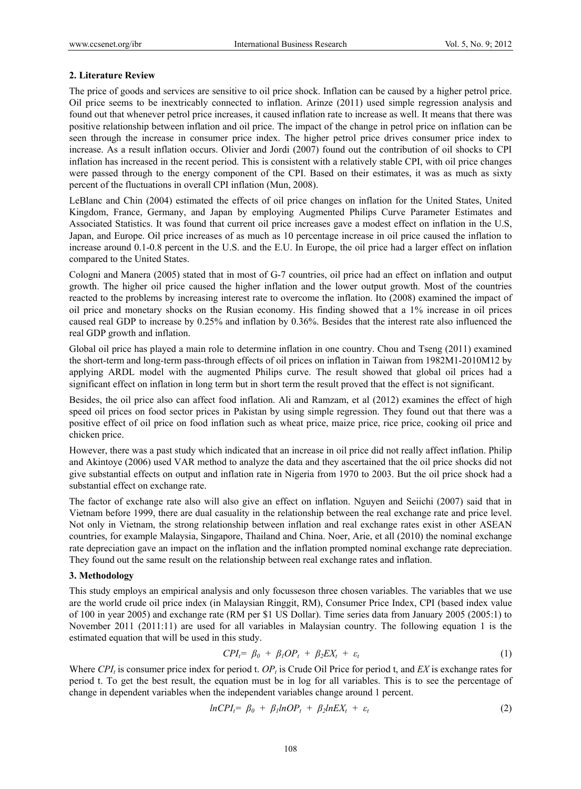#### **2. Literature Review**

The price of goods and services are sensitive to oil price shock. Inflation can be caused by a higher petrol price. Oil price seems to be inextricably connected to inflation. Arinze (2011) used simple regression analysis and found out that whenever petrol price increases, it caused inflation rate to increase as well. It means that there was positive relationship between inflation and oil price. The impact of the change in petrol price on inflation can be seen through the increase in consumer price index. The higher petrol price drives consumer price index to increase. As a result inflation occurs. Olivier and Jordi (2007) found out the contribution of oil shocks to CPI inflation has increased in the recent period. This is consistent with a relatively stable CPI, with oil price changes were passed through to the energy component of the CPI. Based on their estimates, it was as much as sixty percent of the fluctuations in overall CPI inflation (Mun, 2008).

LeBlanc and Chin (2004) estimated the effects of oil price changes on inflation for the United States, United Kingdom, France, Germany, and Japan by employing Augmented Philips Curve Parameter Estimates and Associated Statistics. It was found that current oil price increases gave a modest effect on inflation in the U.S, Japan, and Europe. Oil price increases of as much as 10 percentage increase in oil price caused the inflation to increase around 0.1-0.8 percent in the U.S. and the E.U. In Europe, the oil price had a larger effect on inflation compared to the United States.

Cologni and Manera (2005) stated that in most of G-7 countries, oil price had an effect on inflation and output growth. The higher oil price caused the higher inflation and the lower output growth. Most of the countries reacted to the problems by increasing interest rate to overcome the inflation. Ito (2008) examined the impact of oil price and monetary shocks on the Rusian economy. His finding showed that a 1% increase in oil prices caused real GDP to increase by 0.25% and inflation by 0.36%. Besides that the interest rate also influenced the real GDP growth and inflation.

Global oil price has played a main role to determine inflation in one country. Chou and Tseng (2011) examined the short-term and long-term pass-through effects of oil prices on inflation in Taiwan from 1982M1-2010M12 by applying ARDL model with the augmented Philips curve. The result showed that global oil prices had a significant effect on inflation in long term but in short term the result proved that the effect is not significant.

Besides, the oil price also can affect food inflation. Ali and Ramzam, et al (2012) examines the effect of high speed oil prices on food sector prices in Pakistan by using simple regression. They found out that there was a positive effect of oil price on food inflation such as wheat price, maize price, rice price, cooking oil price and chicken price.

However, there was a past study which indicated that an increase in oil price did not really affect inflation. Philip and Akintoye (2006) used VAR method to analyze the data and they ascertained that the oil price shocks did not give substantial effects on output and inflation rate in Nigeria from 1970 to 2003. But the oil price shock had a substantial effect on exchange rate.

The factor of exchange rate also will also give an effect on inflation. Nguyen and Seiichi (2007) said that in Vietnam before 1999, there are dual casuality in the relationship between the real exchange rate and price level. Not only in Vietnam, the strong relationship between inflation and real exchange rates exist in other ASEAN countries, for example Malaysia, Singapore, Thailand and China. Noer, Arie, et all (2010) the nominal exchange rate depreciation gave an impact on the inflation and the inflation prompted nominal exchange rate depreciation. They found out the same result on the relationship between real exchange rates and inflation.

#### **3. Methodology**

This study employs an empirical analysis and only focusseson three chosen variables. The variables that we use are the world crude oil price index (in Malaysian Ringgit, RM), Consumer Price Index, CPI (based index value of 100 in year 2005) and exchange rate (RM per \$1 US Dollar). Time series data from January 2005 (2005:1) to November 2011 (2011:11) are used for all variables in Malaysian country. The following equation 1 is the estimated equation that will be used in this study.

$$
CPI_t = \beta_0 + \beta_1 OP_t + \beta_2 EX_t + \varepsilon_t \tag{1}
$$

Where  $CPI_t$  is consumer price index for period t.  $OP_t$  is Crude Oil Price for period t, and *EX* is exchange rates for period t. To get the best result, the equation must be in log for all variables. This is to see the percentage of change in dependent variables when the independent variables change around 1 percent.

$$
lnCPI_t = \beta_0 + \beta_1 lnOP_t + \beta_2 lnEX_t + \varepsilon_t \tag{2}
$$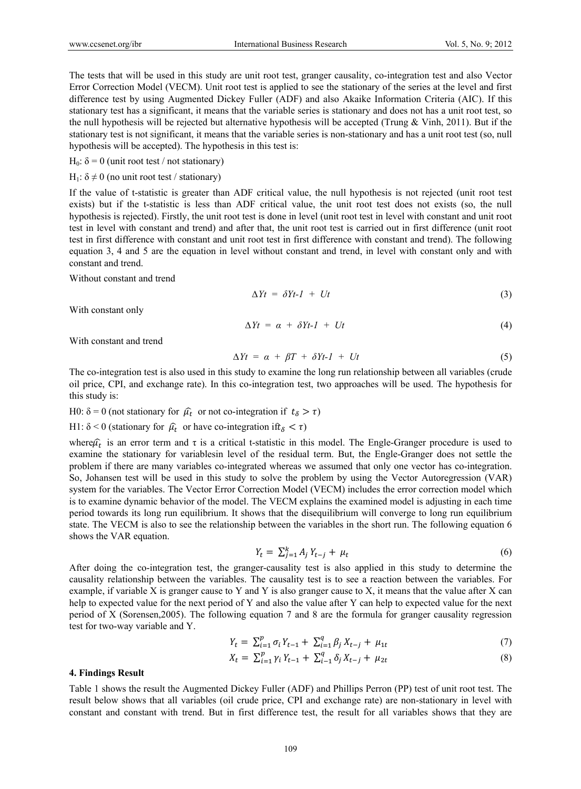The tests that will be used in this study are unit root test, granger causality, co-integration test and also Vector Error Correction Model (VECM). Unit root test is applied to see the stationary of the series at the level and first difference test by using Augmented Dickey Fuller (ADF) and also Akaike Information Criteria (AIC). If this stationary test has a significant, it means that the variable series is stationary and does not has a unit root test, so the null hypothesis will be rejected but alternative hypothesis will be accepted (Trung  $&$  Vinh, 2011). But if the stationary test is not significant, it means that the variable series is non-stationary and has a unit root test (so, null hypothesis will be accepted). The hypothesis in this test is:

H<sub>0</sub>:  $δ = 0$  (unit root test / not stationary)

H<sub>1</sub>:  $\delta \neq 0$  (no unit root test / stationary)

If the value of t-statistic is greater than ADF critical value, the null hypothesis is not rejected (unit root test exists) but if the t-statistic is less than ADF critical value, the unit root test does not exists (so, the null hypothesis is rejected). Firstly, the unit root test is done in level (unit root test in level with constant and unit root test in level with constant and trend) and after that, the unit root test is carried out in first difference (unit root test in first difference with constant and unit root test in first difference with constant and trend). The following equation 3, 4 and 5 are the equation in level without constant and trend, in level with constant only and with constant and trend.

Without constant and trend

$$
\Delta Yt = \delta Yt - I + Ut \tag{3}
$$

With constant only

$$
\Delta Yt = \alpha + \delta Yt - I + Ut \tag{4}
$$

With constant and trend

$$
\Delta Yt = \alpha + \beta T + \delta Yt - l + Ut \tag{5}
$$

The co-integration test is also used in this study to examine the long run relationship between all variables (crude oil price, CPI, and exchange rate). In this co-integration test, two approaches will be used. The hypothesis for this study is:

H0:  $\delta = 0$  (not stationary for  $\hat{\mu}_t$  or not co-integration if  $t_\delta > \tau$ )

H1:  $\delta$  < 0 (stationary for  $\hat{\mu}_t$  or have co-integration if  $t_{\delta}$  <  $\tau$ )

where $\hat{\mu}_t$  is an error term and  $\tau$  is a critical t-statistic in this model. The Engle-Granger procedure is used to examine the stationary for variablesin level of the residual term. But, the Engle-Granger does not settle the problem if there are many variables co-integrated whereas we assumed that only one vector has co-integration. So, Johansen test will be used in this study to solve the problem by using the Vector Autoregression (VAR) system for the variables. The Vector Error Correction Model (VECM) includes the error correction model which is to examine dynamic behavior of the model. The VECM explains the examined model is adjusting in each time period towards its long run equilibrium. It shows that the disequilibrium will converge to long run equilibrium state. The VECM is also to see the relationship between the variables in the short run. The following equation 6 shows the VAR equation.

$$
Y_t = \sum_{j=1}^k A_j Y_{t-j} + \mu_t \tag{6}
$$

After doing the co-integration test, the granger-causality test is also applied in this study to determine the causality relationship between the variables. The causality test is to see a reaction between the variables. For example, if variable X is granger cause to Y and Y is also granger cause to X, it means that the value after X can help to expected value for the next period of Y and also the value after Y can help to expected value for the next period of X (Sorensen,2005). The following equation 7 and 8 are the formula for granger causality regression test for two-way variable and Y.

$$
Y_t = \sum_{i=1}^p \sigma_i Y_{t-1} + \sum_{i=1}^q \beta_j X_{t-j} + \mu_{1t} \tag{7}
$$

$$
X_t = \sum_{i=1}^p \gamma_i Y_{t-1} + \sum_{i=1}^q \delta_j X_{t-j} + \mu_{2t} \tag{8}
$$

#### **4. Findings Result**

Table 1 shows the result the Augmented Dickey Fuller (ADF) and Phillips Perron (PP) test of unit root test. The result below shows that all variables (oil crude price, CPI and exchange rate) are non-stationary in level with constant and constant with trend. But in first difference test, the result for all variables shows that they are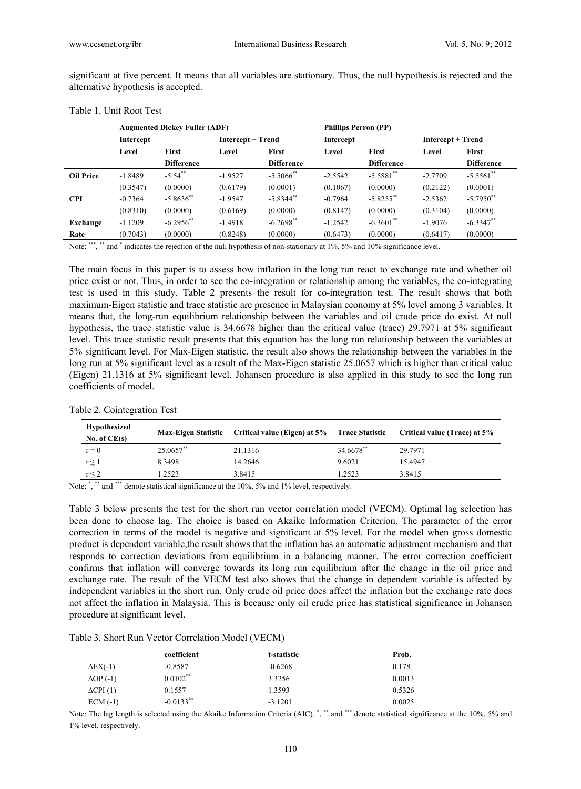| significant at five percent. It means that all variables are stationary. Thus, the null hypothesis is rejected and the |  |  |
|------------------------------------------------------------------------------------------------------------------------|--|--|
| alternative hypothesis is accepted.                                                                                    |  |  |

|                  |           | <b>Augmented Dickey Fuller (ADF)</b> |                          |                         | <b>Phillips Perron (PP)</b> |                         |                          |                   |
|------------------|-----------|--------------------------------------|--------------------------|-------------------------|-----------------------------|-------------------------|--------------------------|-------------------|
|                  | Intercept |                                      | <b>Intercept + Trend</b> |                         | Intercept                   |                         | <b>Intercept + Trend</b> |                   |
|                  | Level     | First                                | Level                    | First                   | Level                       | First                   | Level                    | First             |
|                  |           | <b>Difference</b>                    |                          | <b>Difference</b>       |                             | <b>Difference</b>       |                          | <b>Difference</b> |
| <b>Oil Price</b> | $-1.8489$ | $-5.54$ **                           | $-1.9527$                | $-5.5066$ <sup>**</sup> | $-2.5542$                   | $-5.5881$ <sup>**</sup> | $-2.7709$                | $-5.5561$ **      |
|                  | (0.3547)  | (0.0000)                             | (0.6179)                 | (0.0001)                | (0.1067)                    | (0.0000)                | (0.2122)                 | (0.0001)          |
| <b>CPI</b>       | $-0.7364$ | $-5.8636$ <sup>**</sup>              | $-1.9547$                | $-5.8344$ **            | $-0.7964$                   | $-5.8255$ **            | $-2.5362$                | $-5.7950$ **      |
|                  | (0.8310)  | (0.0000)                             | (0.6169)                 | (0.0000)                | (0.8147)                    | (0.0000)                | (0.3104)                 | (0.0000)          |
| Exchange         | $-1.1209$ | $-6.2956$ **                         | $-1.4918$                | $-6.2698$ <sup>**</sup> | $-1.2542$                   | $-6.3601$ **            | $-1.9076$                | $-6.3347**$       |
| Rate             | (0.7043)  | (0.0000)                             | (0.8248)                 | (0.0000)                | (0.6473)                    | (0.0000)                | (0.6417)                 | (0.0000)          |

Table 1. Unit Root Test

Note: \*\*\*, \*\* and \* indicates the rejection of the null hypothesis of non-stationary at 1%, 5% and 10% significance level.

The main focus in this paper is to assess how inflation in the long run react to exchange rate and whether oil price exist or not. Thus, in order to see the co-integration or relationship among the variables, the co-integrating test is used in this study. Table 2 presents the result for co-integration test. The result shows that both maximum-Eigen statistic and trace statistic are presence in Malaysian economy at 5% level among 3 variables. It means that, the long-run equilibrium relationship between the variables and oil crude price do exist. At null hypothesis, the trace statistic value is 34.6678 higher than the critical value (trace) 29.7971 at 5% significant level. This trace statistic result presents that this equation has the long run relationship between the variables at 5% significant level. For Max-Eigen statistic, the result also shows the relationship between the variables in the long run at 5% significant level as a result of the Max-Eigen statistic 25.0657 which is higher than critical value (Eigen) 21.1316 at 5% significant level. Johansen procedure is also applied in this study to see the long run coefficients of model.

| <b>Hypothesized</b><br>No. of $CE(s)$ | <b>Max-Eigen Statistic</b> | Critical value (Eigen) at 5% Trace Statistic |                       | Critical value (Trace) at 5% |
|---------------------------------------|----------------------------|----------------------------------------------|-----------------------|------------------------------|
| $r = 0$                               | 25.0657**                  | 21.1316                                      | 34.6678 <sup>**</sup> | 29.7971                      |
| $r \leq 1$                            | 8.3498                     | 14.2646                                      | 9.6021                | 15.4947                      |
| $r \leq 2$                            | .2523                      | 3.8415                                       | 1.2523                | 3.8415                       |
|                                       |                            |                                              |                       |                              |

Table 2. Cointegration Test

Note: \*, \*\* and \*\*\* denote statistical significance at the 10%, 5% and 1% level, respectively.

Table 3 below presents the test for the short run vector correlation model (VECM). Optimal lag selection has been done to choose lag. The choice is based on Akaike Information Criterion. The parameter of the error correction in terms of the model is negative and significant at 5% level. For the model when gross domestic product is dependent variable,the result shows that the inflation has an automatic adjustment mechanism and that responds to correction deviations from equilibrium in a balancing manner. The error correction coefficient confirms that inflation will converge towards its long run equilibrium after the change in the oil price and exchange rate. The result of the VECM test also shows that the change in dependent variable is affected by independent variables in the short run. Only crude oil price does affect the inflation but the exchange rate does not affect the inflation in Malaysia. This is because only oil crude price has statistical significance in Johansen procedure at significant level.

| Table 3. Short Run Vector Correlation Model (VECM) |
|----------------------------------------------------|
|----------------------------------------------------|

|                    | coefficient  | t-statistic | Prob.  |  |
|--------------------|--------------|-------------|--------|--|
| $\Delta$ EX(-1)    | $-0.8587$    | $-0.6268$   | 0.178  |  |
| $\Delta$ OP (-1)   | $0.0102$ **  | 3.3256      | 0.0013 |  |
| $\Delta$ CPI $(1)$ | 0.1557       | 1.3593      | 0.5326 |  |
| $ECM(-1)$          | $-0.0133$ ** | $-3.1201$   | 0.0025 |  |

Note: The lag length is selected using the Akaike Information Criteria (AIC).<sup>\*</sup>,\*\*\* and \*\*\* denote statistical significance at the 10%, 5% and 1% level, respectively.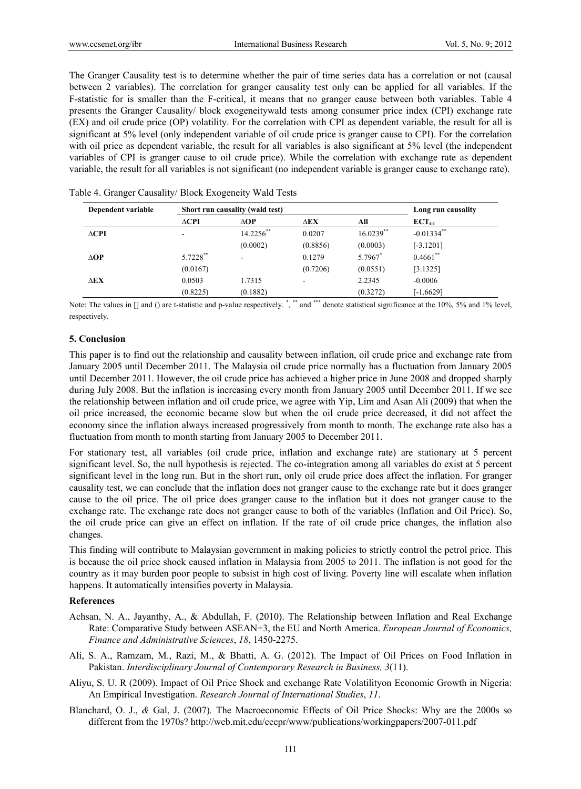The Granger Causality test is to determine whether the pair of time series data has a correlation or not (causal between 2 variables). The correlation for granger causality test only can be applied for all variables. If the F-statistic for is smaller than the F-critical, it means that no granger cause between both variables. Table 4 presents the Granger Causality/ block exogeneitywald tests among consumer price index (CPI) exchange rate (EX) and oil crude price (OP) volatility. For the correlation with CPI as dependent variable, the result for all is significant at 5% level (only independent variable of oil crude price is granger cause to CPI). For the correlation with oil price as dependent variable, the result for all variables is also significant at 5% level (the independent variables of CPI is granger cause to oil crude price). While the correlation with exchange rate as dependent variable, the result for all variables is not significant (no independent variable is granger cause to exchange rate).

| Dependent variable | Short run causality (wald test) |             |             |              | Long run causality |  |
|--------------------|---------------------------------|-------------|-------------|--------------|--------------------|--|
|                    | $\triangle$ CPI                 | $\Delta$ OP | $\Delta$ EX | All          | $ECT_{t-1}$        |  |
| $\triangle$ CPI    | -                               | 14.2256**   | 0.0207      | $16.0239$ ** | $-0.01334$ **      |  |
|                    |                                 | (0.0002)    | (0.8856)    | (0.0003)     | $[-3.1201]$        |  |
| $\triangle$ OP     | 5.7228**                        |             | 0.1279      | 5.7967*      | $0.4661$ **        |  |
|                    | (0.0167)                        |             | (0.7206)    | (0.0551)     | [3.1325]           |  |
| <b>AEX</b>         | 0.0503                          | 1.7315      |             | 2.2345       | $-0.0006$          |  |
|                    | (0.8225)                        | (0.1882)    |             | (0.3272)     | $[-1.6629]$        |  |

Table 4. Granger Causality/ Block Exogeneity Wald Tests

Note: The values in [] and () are t-statistic and p-value respectively. \*,\*\* and \*\*\* denote statistical significance at the 10%, 5% and 1% level, respectively.

## **5. Conclusion**

This paper is to find out the relationship and causality between inflation, oil crude price and exchange rate from January 2005 until December 2011. The Malaysia oil crude price normally has a fluctuation from January 2005 until December 2011. However, the oil crude price has achieved a higher price in June 2008 and dropped sharply during July 2008. But the inflation is increasing every month from January 2005 until December 2011. If we see the relationship between inflation and oil crude price, we agree with Yip, Lim and Asan Ali (2009) that when the oil price increased, the economic became slow but when the oil crude price decreased, it did not affect the economy since the inflation always increased progressively from month to month. The exchange rate also has a fluctuation from month to month starting from January 2005 to December 2011.

For stationary test, all variables (oil crude price, inflation and exchange rate) are stationary at 5 percent significant level. So, the null hypothesis is rejected. The co-integration among all variables do exist at 5 percent significant level in the long run. But in the short run, only oil crude price does affect the inflation. For granger causality test, we can conclude that the inflation does not granger cause to the exchange rate but it does granger cause to the oil price. The oil price does granger cause to the inflation but it does not granger cause to the exchange rate. The exchange rate does not granger cause to both of the variables (Inflation and Oil Price). So, the oil crude price can give an effect on inflation. If the rate of oil crude price changes, the inflation also changes.

This finding will contribute to Malaysian government in making policies to strictly control the petrol price. This is because the oil price shock caused inflation in Malaysia from 2005 to 2011. The inflation is not good for the country as it may burden poor people to subsist in high cost of living. Poverty line will escalate when inflation happens. It automatically intensifies poverty in Malaysia.

## **References**

- Achsan, N. A., Jayanthy, A., & Abdullah, F. (2010). The Relationship between Inflation and Real Exchange Rate: Comparative Study between ASEAN+3, the EU and North America. *European Journal of Economics, Finance and Administrative Sciences*, *18*, 1450-2275.
- Ali, S. A., Ramzam, M., Razi, M., & Bhatti, A. G. (2012). The Impact of Oil Prices on Food Inflation in Pakistan. *Interdisciplinary Journal of Contemporary Research in Business, 3*(11).
- Aliyu, S. U. R (2009). Impact of Oil Price Shock and exchange Rate Volatilityon Economic Growth in Nigeria: An Empirical Investigation. *Research Journal of International Studies*, *11*.
- Blanchard, O. J., *&* Gal, J. (2007)*.* The Macroeconomic Effects of Oil Price Shocks: Why are the 2000s so different from the 1970s? http://web.mit.edu/ceepr/www/publications/workingpapers/2007-011.pdf